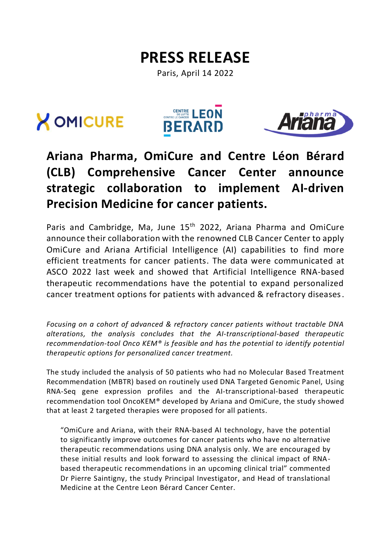# **PRESS RELEASE**

Paris, April 14 2022







## **Ariana Pharma, OmiCure and Centre Léon Bérard (CLB) Comprehensive Cancer Center announce strategic collaboration to implement AI-driven Precision Medicine for cancer patients.**

Paris and Cambridge, Ma. June 15<sup>th</sup> 2022, Ariana Pharma and OmiCure announce their collaboration with the renowned CLB Cancer Center to apply OmiCure and Ariana Artificial Intelligence (AI) capabilities to find more efficient treatments for cancer patients. The data were communicated at ASCO 2022 last week and showed that Artificial Intelligence RNA-based therapeutic recommendations have the potential to expand personalized cancer treatment options for patients with advanced & refractory diseases.

*Focusing on a cohort of advanced & refractory cancer patients without tractable DNA alterations, the analysis concludes that the AI-transcriptional-based therapeutic recommendation-tool Onco KEM® is feasible and has the potential to identify potential therapeutic options for personalized cancer treatment.*

The study included the analysis of 50 patients who had no Molecular Based Treatment Recommendation (MBTR) based on routinely used DNA Targeted Genomic Panel, Using RNA-Seq gene expression profiles and the AI-transcriptional-based therapeutic recommendation tool OncoKEM® developed by Ariana and OmiCure, the study showed that at least 2 targeted therapies were proposed for all patients.

"OmiCure and Ariana, with their RNA-based AI technology, have the potential to significantly improve outcomes for cancer patients who have no alternative therapeutic recommendations using DNA analysis only. We are encouraged by these initial results and look forward to assessing the clinical impact of RNAbased therapeutic recommendations in an upcoming clinical trial" commented Dr Pierre Saintigny, the study Principal Investigator, and Head of translational Medicine at the Centre Leon Bérard Cancer Center.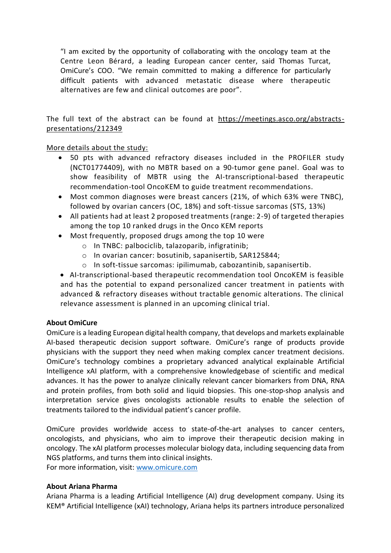"I am excited by the opportunity of collaborating with the oncology team at the Centre Leon Bérard, a leading European cancer center, said Thomas Turcat, OmiCure's COO. "We remain committed to making a difference for particularly difficult patients with advanced metastatic disease where therapeutic alternatives are few and clinical outcomes are poor".

The full text of the abstract can be found at [https://meetings.asco.org/abstracts](https://meetings.asco.org/abstracts-presentations/212349)[presentations/212349](https://meetings.asco.org/abstracts-presentations/212349)

#### More details about the study:

- 50 pts with advanced refractory diseases included in the PROFILER study (NCT01774409), with no MBTR based on a 90-tumor gene panel. Goal was to show feasibility of MBTR using the AI-transcriptional-based therapeutic recommendation-tool OncoKEM to guide treatment recommendations.
- Most common diagnoses were breast cancers (21%, of which 63% were TNBC), followed by ovarian cancers (OC, 18%) and soft-tissue sarcomas (STS, 13%)
- All patients had at least 2 proposed treatments (range: 2-9) of targeted therapies among the top 10 ranked drugs in the Onco KEM reports
- Most frequently, proposed drugs among the top 10 were
	- o In TNBC: palbociclib, talazoparib, infigratinib;
	- o In ovarian cancer: bosutinib, sapanisertib, SAR125844;
	- o In soft-tissue sarcomas: ipilimumab, cabozantinib, sapanisertib.

• AI-transcriptional-based therapeutic recommendation tool OncoKEM is feasible and has the potential to expand personalized cancer treatment in patients with advanced & refractory diseases without tractable genomic alterations. The clinical relevance assessment is planned in an upcoming clinical trial.

#### **About OmiCure**

OmiCure is a leading European digital health company, that develops and markets explainable AI-based therapeutic decision support software. OmiCure's range of products provide physicians with the support they need when making complex cancer treatment decisions. OmiCure's technology combines a proprietary advanced analytical explainable Artificial Intelligence xAI platform, with a comprehensive knowledgebase of scientific and medical advances. It has the power to analyze clinically relevant cancer biomarkers from DNA, RNA and protein profiles, from both solid and liquid biopsies. This one-stop-shop analysis and interpretation service gives oncologists actionable results to enable the selection of treatments tailored to the individual patient's cancer profile.

OmiCure provides worldwide access to state-of-the-art analyses to cancer centers, oncologists, and physicians, who aim to improve their therapeutic decision making in oncology. The xAI platform processes molecular biology data, including sequencing data from NGS platforms, and turns them into clinical insights.

For more information, visit: [www.omicure.com](http://www.omicure.com/)

#### **About Ariana Pharma**

Ariana Pharma is a leading Artificial Intelligence (AI) drug development company. Using its KEM® Artificial Intelligence (xAI) technology, Ariana helps its partners introduce personalized